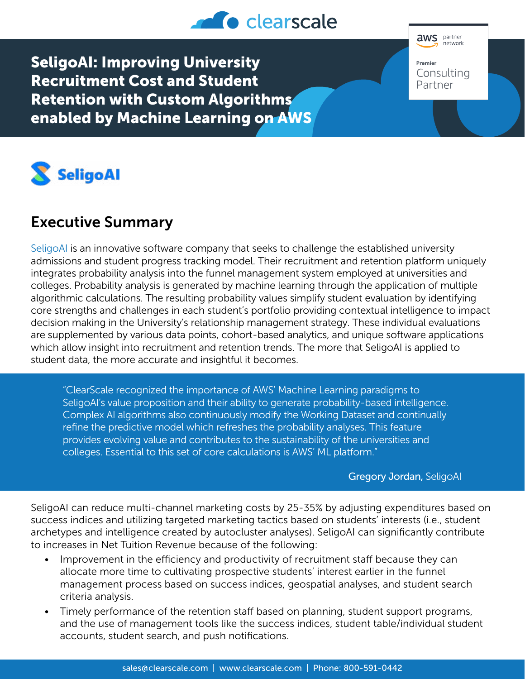

SeligoAI: Improving University Recruitment Cost and Student Retention with Custom Algorithms enabled by Machine Learning on AWS





# Executive Summary

[SeligoAI](https://www.seligoai.com/) is an innovative software company that seeks to challenge the established university admissions and student progress tracking model. Their recruitment and retention platform uniquely integrates probability analysis into the funnel management system employed at universities and colleges. Probability analysis is generated by machine learning through the application of multiple algorithmic calculations. The resulting probability values simplify student evaluation by identifying core strengths and challenges in each student's portfolio providing contextual intelligence to impact decision making in the University's relationship management strategy. These individual evaluations are supplemented by various data points, cohort-based analytics, and unique software applications which allow insight into recruitment and retention trends. The more that SeligoAI is applied to student data, the more accurate and insightful it becomes.

"ClearScale recognized the importance of AWS' Machine Learning paradigms to SeligoAI's value proposition and their ability to generate probability-based intelligence. Complex AI algorithms also continuously modify the Working Dataset and continually refine the predictive model which refreshes the probability analyses. This feature provides evolving value and contributes to the sustainability of the universities and colleges. Essential to this set of core calculations is AWS' ML platform."

## Gregory Jordan, SeligoAI

SeligoAI can reduce multi-channel marketing costs by 25-35% by adjusting expenditures based on success indices and utilizing targeted marketing tactics based on students' interests (i.e., student archetypes and intelligence created by autocluster analyses). SeligoAI can significantly contribute to increases in Net Tuition Revenue because of the following:

- Improvement in the efficiency and productivity of recruitment staff because they can allocate more time to cultivating prospective students' interest earlier in the funnel management process based on success indices, geospatial analyses, and student search criteria analysis.
- Timely performance of the retention staff based on planning, student support programs, and the use of management tools like the success indices, student table/individual student accounts, student search, and push notifications.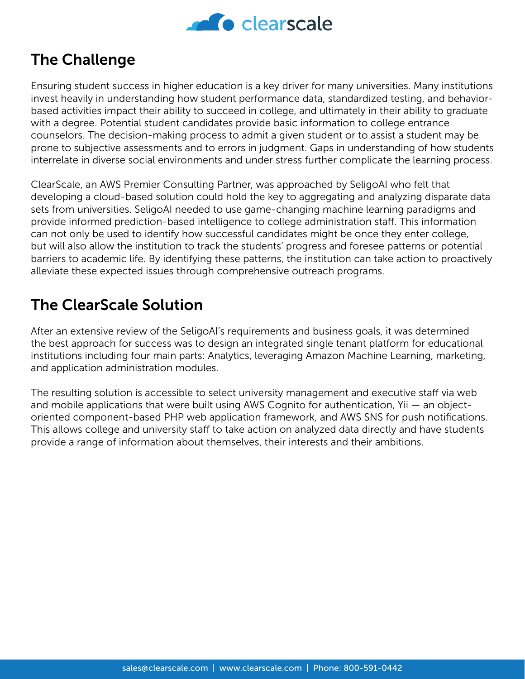

## The Challenge

Ensuring student success in higher education is a key driver for many universities. Many institutions invest heavily in understanding how student performance data, standardized testing, and behaviorbased activities impact their ability to succeed in college, and ultimately in their ability to graduate with a degree. Potential student candidates provide basic information to college entrance counselors. The decision-making process to admit a given student or to assist a student may be prone to subjective assessments and to errors in judgment. Gaps in understanding of how students interrelate in diverse social environments and under stress further complicate the learning process.

ClearScale, an AWS Premier Consulting Partner, was approached by SeligoAI who felt that developing a cloud-based solution could hold the key to aggregating and analyzing disparate data sets from universities. SeligoAI needed to use game-changing machine learning paradigms and provide informed prediction-based intelligence to college administration staff. This information can not only be used to identify how successful candidates might be once they enter college, but will also allow the institution to track the students' progress and foresee patterns or potential barriers to academic life. By identifying these patterns, the institution can take action to proactively alleviate these expected issues through comprehensive outreach programs.

## The ClearScale Solution

After an extensive review of the SeligoAI's requirements and business goals, it was determined the best approach for success was to design an integrated single tenant platform for educational institutions including four main parts: Analytics, leveraging Amazon Machine Learning, marketing, and application administration modules.

The resulting solution is accessible to select university management and executive staff via web and mobile applications that were built using AWS Cognito for authentication, Yii — an objectoriented component-based PHP web application framework, and AWS SNS for push notifications. This allows college and university staff to take action on analyzed data directly and have students provide a range of information about themselves, their interests and their ambitions.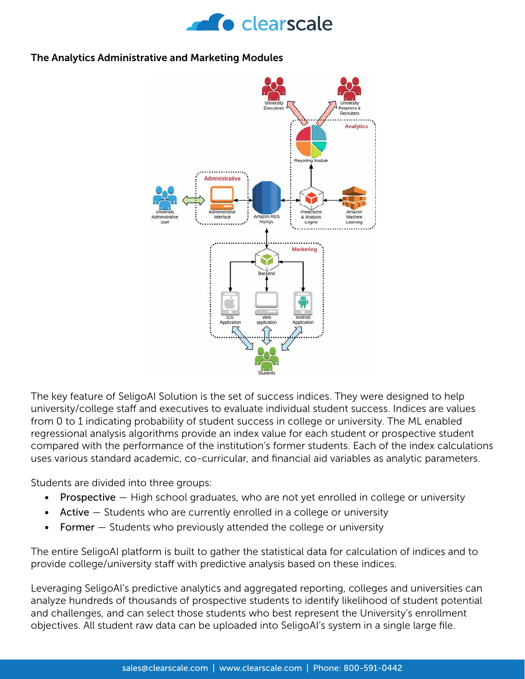

### The Analytics Administrative and Marketing Modules



The key feature of SeligoAI Solution is the set of success indices. They were designed to help university/college staff and executives to evaluate individual student success. Indices are values from 0 to 1 indicating probability of student success in college or university. The ML enabled regressional analysis algorithms provide an index value for each student or prospective student compared with the performance of the institution's former students. Each of the index calculations uses various standard academic, co-curricular, and financial aid variables as analytic parameters.

Students are divided into three groups:

- **Prospective**  $-$  High school graduates, who are not yet enrolled in college or university
- Active Students who are currently enrolled in a college or university
- Former Students who previously attended the college or university

The entire SeligoAI platform is built to gather the statistical data for calculation of indices and to provide college/university staff with predictive analysis based on these indices.

Leveraging SeligoAI's predictive analytics and aggregated reporting, colleges and universities can analyze hundreds of thousands of prospective students to identify likelihood of student potential and challenges, and can select those students who best represent the University's enrollment objectives. All student raw data can be uploaded into SeligoAI's system in a single large file.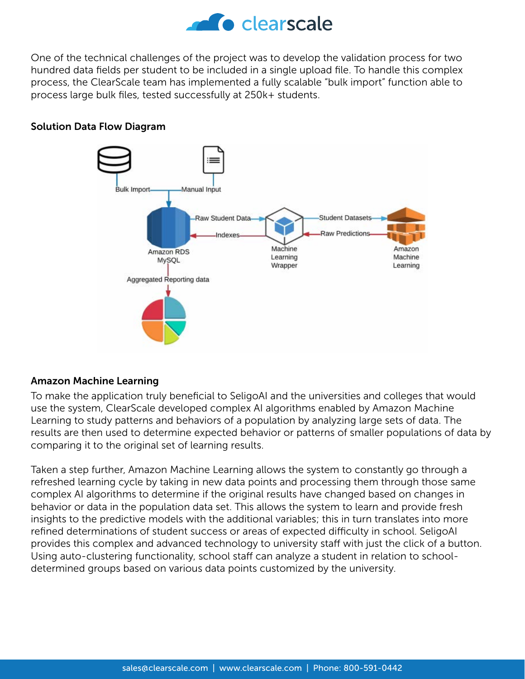

One of the technical challenges of the project was to develop the validation process for two hundred data fields per student to be included in a single upload file. To handle this complex process, the ClearScale team has implemented a fully scalable "bulk import" function able to process large bulk files, tested successfully at 250k+ students.

## Solution Data Flow Diagram



## Amazon Machine Learning

To make the application truly beneficial to SeligoAI and the universities and colleges that would use the system, ClearScale developed complex AI algorithms enabled by Amazon Machine Learning to study patterns and behaviors of a population by analyzing large sets of data. The results are then used to determine expected behavior or patterns of smaller populations of data by comparing it to the original set of learning results.

Taken a step further, Amazon Machine Learning allows the system to constantly go through a refreshed learning cycle by taking in new data points and processing them through those same complex AI algorithms to determine if the original results have changed based on changes in behavior or data in the population data set. This allows the system to learn and provide fresh insights to the predictive models with the additional variables; this in turn translates into more refined determinations of student success or areas of expected difficulty in school. SeligoAI provides this complex and advanced technology to university staff with just the click of a button. Using auto-clustering functionality, school staff can analyze a student in relation to schooldetermined groups based on various data points customized by the university.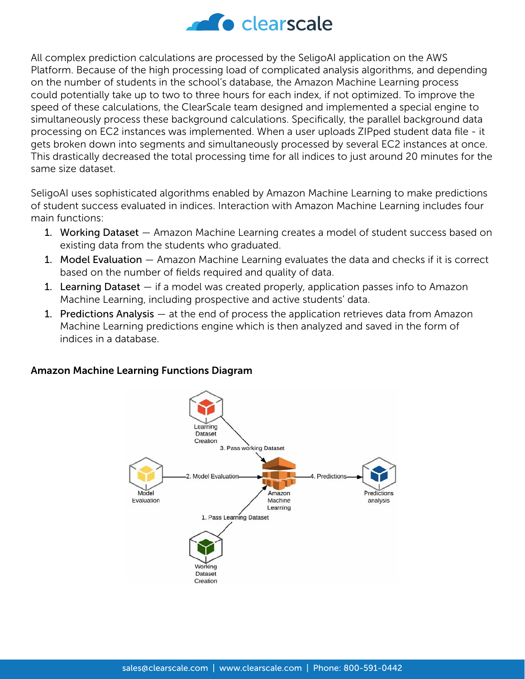

All complex prediction calculations are processed by the SeligoAI application on the AWS Platform. Because of the high processing load of complicated analysis algorithms, and depending on the number of students in the school's database, the Amazon Machine Learning process could potentially take up to two to three hours for each index, if not optimized. To improve the speed of these calculations, the ClearScale team designed and implemented a special engine to simultaneously process these background calculations. Specifically, the parallel background data processing on EC2 instances was implemented. When a user uploads ZIPped student data file - it gets broken down into segments and simultaneously processed by several EC2 instances at once. This drastically decreased the total processing time for all indices to just around 20 minutes for the same size dataset.

SeligoAI uses sophisticated algorithms enabled by Amazon Machine Learning to make predictions of student success evaluated in indices. Interaction with Amazon Machine Learning includes four main functions:

- 1. Working Dataset Amazon Machine Learning creates a model of student success based on existing data from the students who graduated.
- 1. Model Evaluation Amazon Machine Learning evaluates the data and checks if it is correct based on the number of fields required and quality of data.
- 1. Learning Dataset if a model was created properly, application passes info to Amazon Machine Learning, including prospective and active students' data.
- 1. Predictions Analysis at the end of process the application retrieves data from Amazon Machine Learning predictions engine which is then analyzed and saved in the form of indices in a database.

## Amazon Machine Learning Functions Diagram

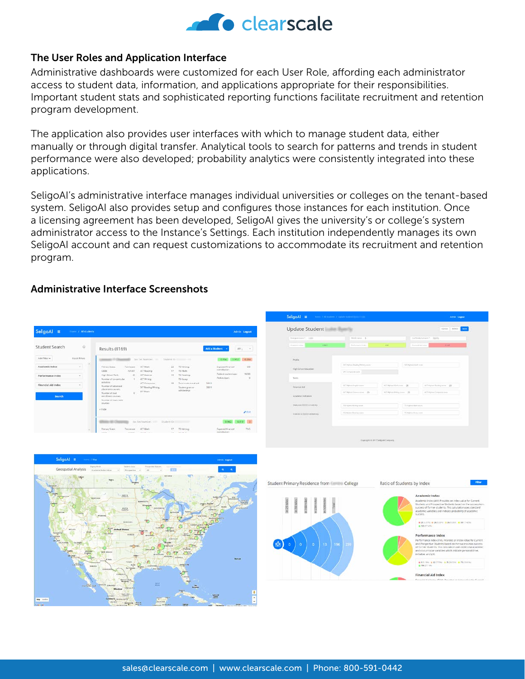

#### The User Roles and Application Interface

Administrative dashboards were customized for each User Role, affording each administrator access to student data, information, and applications appropriate for their responsibilities. Important student stats and sophisticated reporting functions facilitate recruitment and retention program development.

The application also provides user interfaces with which to manage student data, either manually or through digital transfer. Analytical tools to search for patterns and trends in student performance were also developed; probability analytics were consistently integrated into these applications.

SeligoAI's administrative interface manages individual universities or colleges on the tenant-based system. SeligoAI also provides setup and configures those instances for each institution. Once a licensing agreement has been developed, SeligoAI gives the university's or college's system administrator access to the Instance's Settings. Each institution independently manages its own SeligoAI account and can request customizations to accommodate its recruitment and retention program.

## Administrative Interface Screenshots

| Student Search      | $\ddot{\text{o}}$    |                                                                           |                     |                                                   |             |                                                                       |                      |                                                    |                      |
|---------------------|----------------------|---------------------------------------------------------------------------|---------------------|---------------------------------------------------|-------------|-----------------------------------------------------------------------|----------------------|----------------------------------------------------|----------------------|
|                     |                      | Results (8169)                                                            |                     |                                                   |             |                                                                       | Add a Student        |                                                    | $MV$ ;<br>$\sim$     |
| Add filter .        | <b>Risict Biters</b> |                                                                           |                     | She San Marydorf, 1988                            |             | Shadest (St. 1999) and the                                            |                      | 0.664 0.662                                        | 0.284                |
| Academic Index      | $\sim$<br>$\sim$     | Frienand Scans<br>CANE.                                                   | Tonnessee<br>431337 | ACT Marks<br>ACT Neading                          | 22<br>3.F   | <b>19 Writings</b><br>TSLMade                                         |                      | <b>Luxeaud financial</b><br>constantes.            | 600                  |
| Performance index   | ÷                    | High School Rank:<br>Mumber of co-corricular                              | $\infty$            | ACT Science:<br>ACT Wright                        | 19          | TS Reading:<br>The English                                            |                      | Fashwall studient form:<br>Perkins Joans<br>43,672 | 10200<br>$\alpha$    |
| Financial Ald Index | $\equiv$             | scholars.<br>Number of education<br>placement courses.                    |                     | ACT Committee<br>SAT Reading/Writing<br>SATMAIN'S | <b>IS</b>   | Turnal provincial conditional and<br>Student grant or<br>scholarshur. | SANY<br><b>STAYS</b> |                                                    |                      |
| <b>Search</b>       |                      | Number of cust<br>wentlooker emirses:<br>Munday of dual crade<br>DOMESTIC | b)                  |                                                   |             |                                                                       |                      |                                                    |                      |
|                     |                      | A Hide                                                                    |                     |                                                   |             |                                                                       |                      |                                                    | <b>NASHR</b><br>2500 |
|                     |                      |                                                                           |                     | Soc Sec Number: 1000                              | Student (D) |                                                                       |                      | 0.9627                                             | $0.819$ 0            |
|                     | $\sim$               | <b>Premary Scales</b><br><b>CALLS</b>                                     | Terrenee            | ACT Mark                                          | <b>CF</b>   | TO Writing                                                            |                      | Experient financial.<br>convision                  | r v<br>7145          |

|                                           | Monito name \$2                 |                            | losterd/cenare *  Both |                           |  |  |  |  |
|-------------------------------------------|---------------------------------|----------------------------|------------------------|---------------------------|--|--|--|--|
| 1.362<br>August 1994                      | Fortunancial Index              | $^{4}$                     | Pristrust has been     | 10144                     |  |  |  |  |
| <b>PATIEN</b><br>Profile.                 |                                 |                            |                        |                           |  |  |  |  |
| œ<br>High School Education                | 147 Hybert Reality/White Leader |                            | SERVICE BAY            |                           |  |  |  |  |
| Telefa:                                   | 147 Sampleine Insier            |                            |                        |                           |  |  |  |  |
|                                           |                                 |                            |                        |                           |  |  |  |  |
| <b>Enamatika</b>                          | ISC High-cd English courts      | (C) righted distance (126) |                        | atled with the party 120  |  |  |  |  |
| Academic indicators                       | at report insection 15          | HTM/relitting line 25      |                        | at I mirror Consorce none |  |  |  |  |
| <b>DOLLARS CONVEYS</b><br><b>PERMITTE</b> | TSI-lighted Winning needs       |                            | To Hallery Barrison    |                           |  |  |  |  |
| interest in interest Deliveraty           | Things four pres-               |                            | The mythod Roster anno |                           |  |  |  |  |



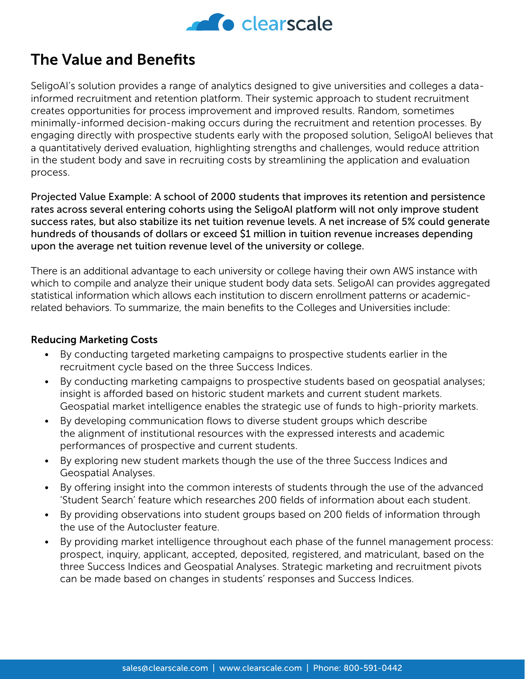

## The Value and Benefits

SeligoAI's solution provides a range of analytics designed to give universities and colleges a datainformed recruitment and retention platform. Their systemic approach to student recruitment creates opportunities for process improvement and improved results. Random, sometimes minimally-informed decision-making occurs during the recruitment and retention processes. By engaging directly with prospective students early with the proposed solution, SeligoAI believes that a quantitatively derived evaluation, highlighting strengths and challenges, would reduce attrition in the student body and save in recruiting costs by streamlining the application and evaluation process.

Projected Value Example: A school of 2000 students that improves its retention and persistence rates across several entering cohorts using the SeligoAI platform will not only improve student success rates, but also stabilize its net tuition revenue levels. A net increase of 5% could generate hundreds of thousands of dollars or exceed \$1 million in tuition revenue increases depending upon the average net tuition revenue level of the university or college.

There is an additional advantage to each university or college having their own AWS instance with which to compile and analyze their unique student body data sets. SeligoAI can provides aggregated statistical information which allows each institution to discern enrollment patterns or academicrelated behaviors. To summarize, the main benefits to the Colleges and Universities include:

## Reducing Marketing Costs

- By conducting targeted marketing campaigns to prospective students earlier in the recruitment cycle based on the three Success Indices.
- By conducting marketing campaigns to prospective students based on geospatial analyses; insight is afforded based on historic student markets and current student markets. Geospatial market intelligence enables the strategic use of funds to high-priority markets.
- By developing communication flows to diverse student groups which describe the alignment of institutional resources with the expressed interests and academic performances of prospective and current students.
- By exploring new student markets though the use of the three Success Indices and Geospatial Analyses.
- By offering insight into the common interests of students through the use of the advanced 'Student Search' feature which researches 200 fields of information about each student.
- By providing observations into student groups based on 200 fields of information through the use of the Autocluster feature.
- By providing market intelligence throughout each phase of the funnel management process: prospect, inquiry, applicant, accepted, deposited, registered, and matriculant, based on the three Success Indices and Geospatial Analyses. Strategic marketing and recruitment pivots can be made based on changes in students' responses and Success Indices.